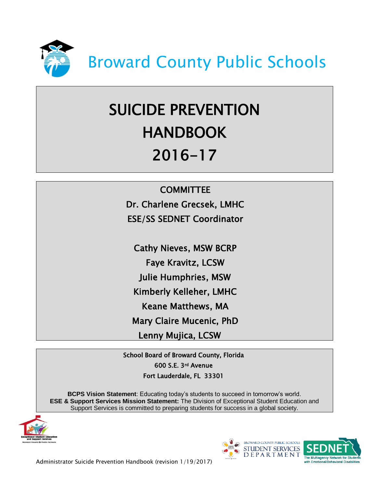

# SUICIDE PREVENTION **HANDBOOK** 2016-17

### **COMMITTEE**

Dr. Charlene Grecsek, LMHC ESE/SS SEDNET Coordinator

Cathy Nieves, MSW BCRP Faye Kravitz, LCSW Julie Humphries, MSW Kimberly Kelleher, LMHC Keane Matthews, MA Mary Claire Mucenic, PhD Lenny Mujica, LCSW

School Board of Broward County, Florida 600 S.E. 3rd Avenue Fort Lauderdale, FL 33301

**BCPS Vision Statement**: Educating today's students to succeed in tomorrow's world. **ESE & Support Services Mission Statement:** The Division of Exceptional Student Education and Support Services is committed to preparing students for success in a global society.





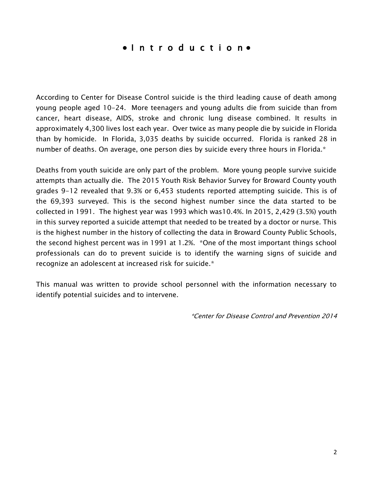### ● I n t r o d u c t i o n ●

According to Center for Disease Control suicide is the third leading cause of death among young people aged 10-24. More teenagers and young adults die from suicide than from cancer, heart disease, AIDS, stroke and chronic lung disease combined. It results in approximately 4,300 lives lost each year. Over twice as many people die by suicide in Florida than by homicide. In Florida, 3,035 deaths by suicide occurred. Florida is ranked 28 in number of deaths. On average, one person dies by suicide every three hours in Florida.\*

Deaths from youth suicide are only part of the problem. More young people survive suicide attempts than actually die. The 2015 Youth Risk Behavior Survey for Broward County youth grades 9-12 revealed that 9.3% or 6,453 students reported attempting suicide. This is of the 69,393 surveyed. This is the second highest number since the data started to be collected in 1991. The highest year was 1993 which was10.4%. In 2015, 2,429 (3.5%) youth in this survey reported a suicide attempt that needed to be treated by a doctor or nurse. This is the highest number in the history of collecting the data in Broward County Public Schools, the second highest percent was in 1991 at 1.2%. \*One of the most important things school professionals can do to prevent suicide is to identify the warning signs of suicide and recognize an adolescent at increased risk for suicide.\*

This manual was written to provide school personnel with the information necessary to identify potential suicides and to intervene.

\*Center for Disease Control and Prevention 2014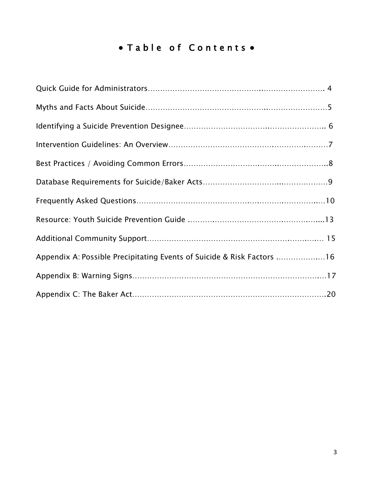# • Table of Contents •

| Appendix A: Possible Precipitating Events of Suicide & Risk Factors 16 |
|------------------------------------------------------------------------|
|                                                                        |
|                                                                        |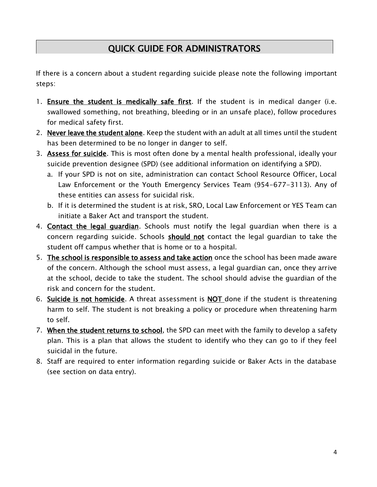# QUICK GUIDE FOR ADMINISTRATORS

If there is a concern about a student regarding suicide please note the following important steps:

- 1. Ensure the student is medically safe first. If the student is in medical danger (i.e. swallowed something, not breathing, bleeding or in an unsafe place), follow procedures for medical safety first.
- 2. Never leave the student alone. Keep the student with an adult at all times until the student has been determined to be no longer in danger to self.
- 3. Assess for suicide. This is most often done by a mental health professional, ideally your suicide prevention designee (SPD) (see additional information on identifying a SPD).
	- a. If your SPD is not on site, administration can contact School Resource Officer, Local Law Enforcement or the Youth Emergency Services Team (954-677-3113). Any of these entities can assess for suicidal risk.
	- b. If it is determined the student is at risk, SRO, Local Law Enforcement or YES Team can initiate a Baker Act and transport the student.
- 4. Contact the legal guardian. Schools must notify the legal guardian when there is a concern regarding suicide. Schools should not contact the legal guardian to take the student off campus whether that is home or to a hospital.
- 5. The school is responsible to assess and take action once the school has been made aware of the concern. Although the school must assess, a legal guardian can, once they arrive at the school, decide to take the student. The school should advise the guardian of the risk and concern for the student.
- 6. Suicide is not homicide. A threat assessment is NOT done if the student is threatening harm to self. The student is not breaking a policy or procedure when threatening harm to self.
- 7. When the student returns to school, the SPD can meet with the family to develop a safety plan. This is a plan that allows the student to identify who they can go to if they feel suicidal in the future.
- 8. Staff are required to enter information regarding suicide or Baker Acts in the database (see section on data entry).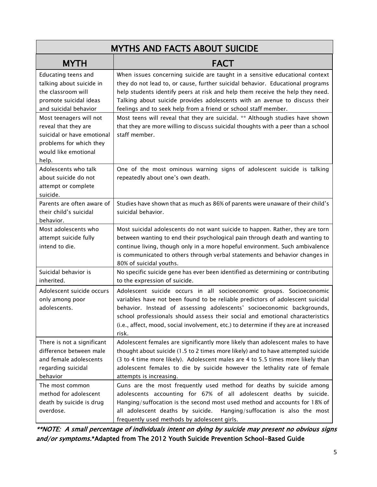| <b>MYTHS AND FACTS ABOUT SUICIDE</b>                                                                                                                                                                                                 |                                                                                                                                                                                                                                                                                                                                                                                                                                                                                                                                                                                          |  |
|--------------------------------------------------------------------------------------------------------------------------------------------------------------------------------------------------------------------------------------|------------------------------------------------------------------------------------------------------------------------------------------------------------------------------------------------------------------------------------------------------------------------------------------------------------------------------------------------------------------------------------------------------------------------------------------------------------------------------------------------------------------------------------------------------------------------------------------|--|
| <b>MYTH</b>                                                                                                                                                                                                                          | <b>FACT</b>                                                                                                                                                                                                                                                                                                                                                                                                                                                                                                                                                                              |  |
| Educating teens and<br>talking about suicide in<br>the classroom will<br>promote suicidal ideas<br>and suicidal behavior<br>Most teenagers will not<br>reveal that they are<br>suicidal or have emotional<br>problems for which they | When issues concerning suicide are taught in a sensitive educational context<br>they do not lead to, or cause, further suicidal behavior. Educational programs<br>help students identify peers at risk and help them receive the help they need.<br>Talking about suicide provides adolescents with an avenue to discuss their<br>feelings and to seek help from a friend or school staff member.<br>Most teens will reveal that they are suicidal. ** Although studies have shown<br>that they are more willing to discuss suicidal thoughts with a peer than a school<br>staff member. |  |
| would like emotional<br>help.                                                                                                                                                                                                        |                                                                                                                                                                                                                                                                                                                                                                                                                                                                                                                                                                                          |  |
| Adolescents who talk<br>about suicide do not<br>attempt or complete<br>suicide.                                                                                                                                                      | One of the most ominous warning signs of adolescent suicide is talking<br>repeatedly about one's own death.                                                                                                                                                                                                                                                                                                                                                                                                                                                                              |  |
| Parents are often aware of<br>their child's suicidal<br>behavior.                                                                                                                                                                    | Studies have shown that as much as 86% of parents were unaware of their child's<br>suicidal behavior.                                                                                                                                                                                                                                                                                                                                                                                                                                                                                    |  |
| Most adolescents who<br>attempt suicide fully<br>intend to die.                                                                                                                                                                      | Most suicidal adolescents do not want suicide to happen. Rather, they are torn<br>between wanting to end their psychological pain through death and wanting to<br>continue living, though only in a more hopeful environment. Such ambivalence<br>is communicated to others through verbal statements and behavior changes in<br>80% of suicidal youths.                                                                                                                                                                                                                                 |  |
| Suicidal behavior is<br>inherited.                                                                                                                                                                                                   | No specific suicide gene has ever been identified as determining or contributing<br>to the expression of suicide.                                                                                                                                                                                                                                                                                                                                                                                                                                                                        |  |
| Adolescent suicide occurs<br>only among poor<br>adolescents.                                                                                                                                                                         | Adolescent suicide occurs in all socioeconomic groups. Socioeconomic<br>variables have not been found to be reliable predictors of adolescent suicidal<br>behavior. Instead of assessing adolescents' socioeconomic backgrounds,<br>school professionals should assess their social and emotional characteristics<br>(i.e., affect, mood, social involvement, etc.) to determine if they are at increased<br>risk.                                                                                                                                                                       |  |
| There is not a significant<br>difference between male<br>and female adolescents<br>regarding suicidal<br>behavior                                                                                                                    | Adolescent females are significantly more likely than adolescent males to have<br>thought about suicide (1.5 to 2 times more likely) and to have attempted suicide<br>(3 to 4 time more likely). Adolescent males are 4 to 5.5 times more likely than<br>adolescent females to die by suicide however the lethality rate of female<br>attempts is increasing.                                                                                                                                                                                                                            |  |
| The most common<br>method for adolescent<br>death by suicide is drug<br>overdose.                                                                                                                                                    | Guns are the most frequently used method for deaths by suicide among<br>adolescents accounting for 67% of all adolescent deaths by suicide.<br>Hanging/suffocation is the second most used method and accounts for 18% of<br>all adolescent deaths by suicide.<br>Hanging/suffocation is also the most<br>frequently used methods by adolescent girls.                                                                                                                                                                                                                                   |  |

\*\*NOTE: A small percentage of individuals intent on dying by suicide may present no obvious signs and/or symptoms.\*Adapted from The 2012 Youth Suicide Prevention School-Based Guide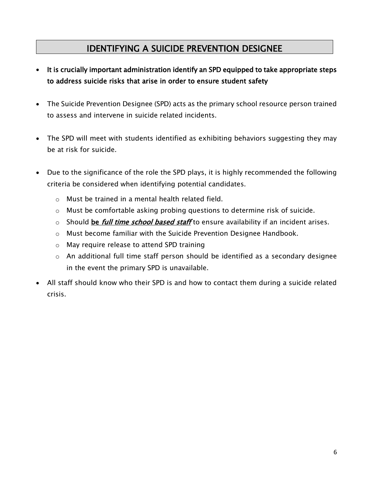### IDENTIFYING A SUICIDE PREVENTION DESIGNEE

- It is crucially important administration identify an SPD equipped to take appropriate steps to address suicide risks that arise in order to ensure student safety
- The Suicide Prevention Designee (SPD) acts as the primary school resource person trained to assess and intervene in suicide related incidents.
- The SPD will meet with students identified as exhibiting behaviors suggesting they may be at risk for suicide.
- Due to the significance of the role the SPD plays, it is highly recommended the following criteria be considered when identifying potential candidates.
	- o Must be trained in a mental health related field.
	- o Must be comfortable asking probing questions to determine risk of suicide.
	- $\circ$  Should be *full time school based staff* to ensure availability if an incident arises.
	- o Must become familiar with the Suicide Prevention Designee Handbook.
	- o May require release to attend SPD training
	- o An additional full time staff person should be identified as a secondary designee in the event the primary SPD is unavailable.
- All staff should know who their SPD is and how to contact them during a suicide related crisis.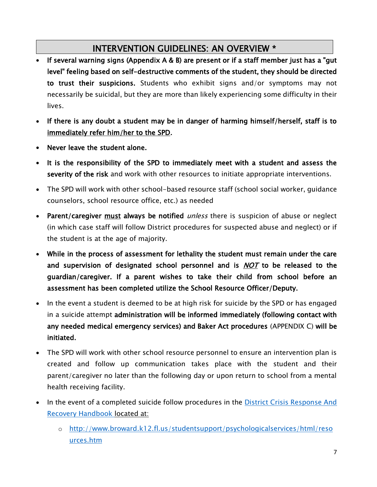### INTERVENTION GUIDELINES: AN OVERVIEW \*

- If several warning signs (Appendix A & B) are present or if a staff member just has a "gut level" feeling based on self-destructive comments of the student, they should be directed to trust their suspicions. Students who exhibit signs and/or symptoms may not necessarily be suicidal, but they are more than likely experiencing some difficulty in their lives.
- If there is any doubt a student may be in danger of harming himself/herself, staff is to immediately refer him/her to the SPD.
- Never leave the student alone.
- It is the responsibility of the SPD to immediately meet with a student and assess the severity of the risk and work with other resources to initiate appropriate interventions.
- The SPD will work with other school-based resource staff (school social worker, guidance counselors, school resource office, etc.) as needed
- Parent/caregiver must always be notified *unless* there is suspicion of abuse or neglect (in which case staff will follow District procedures for suspected abuse and neglect) or if the student is at the age of majority.
- While in the process of assessment for lethality the student must remain under the care and supervision of designated school personnel and is  $NOT$  to be released to the guardian/caregiver. If a parent wishes to take their child from school before an assessment has been completed utilize the School Resource Officer/Deputy.
- In the event a student is deemed to be at high risk for suicide by the SPD or has engaged in a suicide attempt administration will be informed immediately (following contact with any needed medical emergency services) and Baker Act procedures (APPENDIX C) will be initiated.
- The SPD will work with other school resource personnel to ensure an intervention plan is created and follow up communication takes place with the student and their parent/caregiver no later than the following day or upon return to school from a mental health receiving facility.
- In the event of a completed suicide follow procedures in the District Crisis Response And [Recovery Handbook](http://www.broward.k12.fl.us/studentsupport/psychologicalservices/html/resources.htm) located at:
	- o [http://www.broward.k12.fl.us/studentsupport/psychologicalservices/html/reso](http://www.broward.k12.fl.us/studentsupport/psychologicalservices/html/resources.htm) [urces.htm](http://www.broward.k12.fl.us/studentsupport/psychologicalservices/html/resources.htm)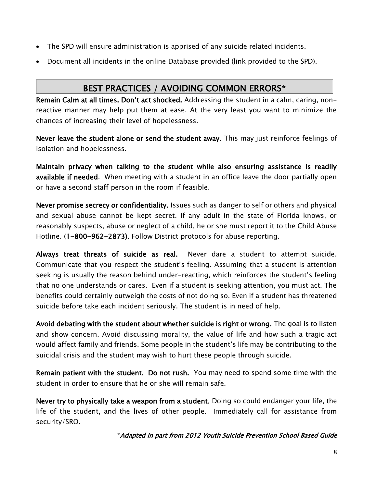- The SPD will ensure administration is apprised of any suicide related incidents.
- Document all incidents in the online Database provided (link provided to the SPD).

### BEST PRACTICES / AVOIDING COMMON ERRORS\*

Remain Calm at all times. Don't act shocked. Addressing the student in a calm, caring, nonreactive manner may help put them at ease. At the very least you want to minimize the chances of increasing their level of hopelessness.

Never leave the student alone or send the student away. This may just reinforce feelings of isolation and hopelessness.

Maintain privacy when talking to the student while also ensuring assistance is readily available if needed. When meeting with a student in an office leave the door partially open or have a second staff person in the room if feasible.

Never promise secrecy or confidentiality. Issues such as danger to self or others and physical and sexual abuse cannot be kept secret. If any adult in the state of Florida knows, or reasonably suspects, abuse or neglect of a child, he or she must report it to the Child Abuse Hotline. (1-800-962-2873). Follow District protocols for abuse reporting.

Always treat threats of suicide as real. Never dare a student to attempt suicide. Communicate that you respect the student's feeling. Assuming that a student is attention seeking is usually the reason behind under-reacting, which reinforces the student's feeling that no one understands or cares. Even if a student is seeking attention, you must act. The benefits could certainly outweigh the costs of not doing so. Even if a student has threatened suicide before take each incident seriously. The student is in need of help.

Avoid debating with the student about whether suicide is right or wrong. The goal is to listen and show concern. Avoid discussing morality, the value of life and how such a tragic act would affect family and friends. Some people in the student's life may be contributing to the suicidal crisis and the student may wish to hurt these people through suicide.

Remain patient with the student. Do not rush. You may need to spend some time with the student in order to ensure that he or she will remain safe.

Never try to physically take a weapon from a student. Doing so could endanger your life, the life of the student, and the lives of other people. Immediately call for assistance from security/SRO.

\*Adapted in part from 2012 Youth Suicide Prevention School Based Guide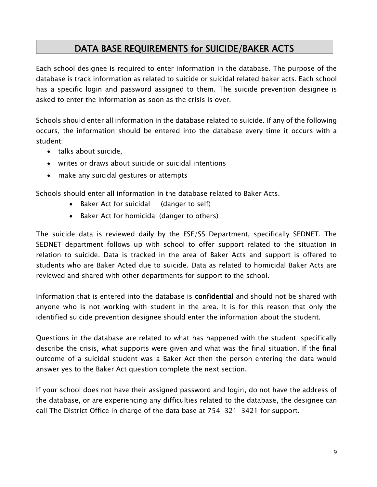### DATA BASE REQUIREMENTS for SUICIDE/BAKER ACTS

Each school designee is required to enter information in the database. The purpose of the database is track information as related to suicide or suicidal related baker acts. Each school has a specific login and password assigned to them. The suicide prevention designee is asked to enter the information as soon as the crisis is over.

Schools should enter all information in the database related to suicide. If any of the following occurs, the information should be entered into the database every time it occurs with a student:

- talks about suicide,
- writes or draws about suicide or suicidal intentions
- make any suicidal gestures or attempts

Schools should enter all information in the database related to Baker Acts.

- Baker Act for suicidal (danger to self)
- Baker Act for homicidal (danger to others)

The suicide data is reviewed daily by the ESE/SS Department, specifically SEDNET. The SEDNET department follows up with school to offer support related to the situation in relation to suicide. Data is tracked in the area of Baker Acts and support is offered to students who are Baker Acted due to suicide. Data as related to homicidal Baker Acts are reviewed and shared with other departments for support to the school.

Information that is entered into the database is confidential and should not be shared with anyone who is not working with student in the area. It is for this reason that only the identified suicide prevention designee should enter the information about the student.

Questions in the database are related to what has happened with the student: specifically describe the crisis, what supports were given and what was the final situation. If the final outcome of a suicidal student was a Baker Act then the person entering the data would answer yes to the Baker Act question complete the next section.

If your school does not have their assigned password and login, do not have the address of the database, or are experiencing any difficulties related to the database, the designee can call The District Office in charge of the data base at 754-321-3421 for support.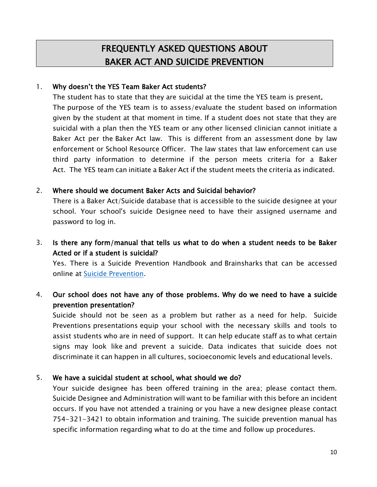# FREQUENTLY ASKED QUESTIONS ABOUT BAKER ACT AND SUICIDE PREVENTION

#### 1. Why doesn't the YES Team Baker Act students?

The student has to state that they are suicidal at the time the YES team is present. The purpose of the YES team is to assess/evaluate the student based on information given by the student at that moment in time. If a student does not state that they are suicidal with a plan then the YES team or any other licensed clinician cannot initiate a Baker Act per the Baker Act law. This is different from an assessment done by law enforcement or School Resource Officer. The law states that law enforcement can use third party information to determine if the person meets criteria for a Baker Act. The YES team can initiate a Baker Act if the student meets the criteria as indicated.

#### 2. Where should we document Baker Acts and Suicidal behavior?

There is a Baker Act/Suicide database that is accessible to the suicide designee at your school. Your school's suicide Designee need to have their assigned username and password to log in.

3. Is there any form/manual that tells us what to do when a student needs to be Baker Acted or if a student is suicidal?

Yes. There is a Suicide Prevention Handbook and Brainsharks that can be accessed online at [Suicide Prevention.](http://app.brainshark.com/brainshark/brainshark.net/salesportal/title.aspx?pi=zCNzdv4PAz0z0)

### 4. Our school does not have any of those problems. Why do we need to have a suicide prevention presentation?

Suicide should not be seen as a problem but rather as a need for help. Suicide Preventions presentations equip your school with the necessary skills and tools to assist students who are in need of support. It can help educate staff as to what certain signs may look like and prevent a suicide. Data indicates that suicide does not discriminate it can happen in all cultures, socioeconomic levels and educational levels.

### 5. We have a suicidal student at school, what should we do?

Your suicide designee has been offered training in the area; please contact them. Suicide Designee and Administration will want to be familiar with this before an incident occurs. If you have not attended a training or you have a new designee please contact 754-321-3421 to obtain information and training. The suicide prevention manual has specific information regarding what to do at the time and follow up procedures.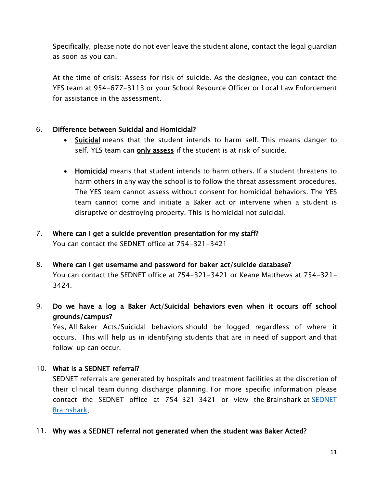Specifically, please note do not ever leave the student alone, contact the legal guardian as soon as you can.

At the time of crisis: Assess for risk of suicide. As the designee, you can contact the YES team at 954-677-3113 or your School Resource Officer or Local Law Enforcement for assistance in the assessment.

#### 6. Difference between Suicidal and Homicidal?

- Suicidal means that the student intends to harm self. This means danger to self. YES team can only assess if the student is at risk of suicide.
- Homicidal means that student intends to harm others. If a student threatens to harm others in any way the school is to follow the threat assessment procedures. The YES team cannot assess without consent for homicidal behaviors. The YES team cannot come and initiate a Baker act or intervene when a student is disruptive or destroying property. This is homicidal not suicidal.

### 7. Where can I get a suicide prevention presentation for my staff?

You can contact the SEDNET office at 754-321-3421

- 8. Where can I get username and password for baker act/suicide database? You can contact the SEDNET office at 754-321-3421 or Keane Matthews at 754-321- 3424.
- 9. Do we have a log a Baker Act/Suicidal behaviors even when it occurs off school grounds/campus?

Yes, All Baker Acts/Suicidal behaviors should be logged regardless of where it occurs. This will help us in identifying students that are in need of support and that follow-up can occur.

### 10. What is a SEDNET referral?

SEDNET referrals are generated by hospitals and treatment facilities at the discretion of their clinical team during discharge planning. For more specific information please contact the [SEDNET](http://app.brainshark.com/brainshark/brainshark.net/salesportal/title.aspx?pi=zBgz3MdFKz0z0) office at 754-321-3421 or view the Brainshark at **SEDNET** [Brainshark.](http://app.brainshark.com/brainshark/brainshark.net/salesportal/title.aspx?pi=zBgz3MdFKz0z0)

11. Why was a SEDNET referral not generated when the student was Baker Acted?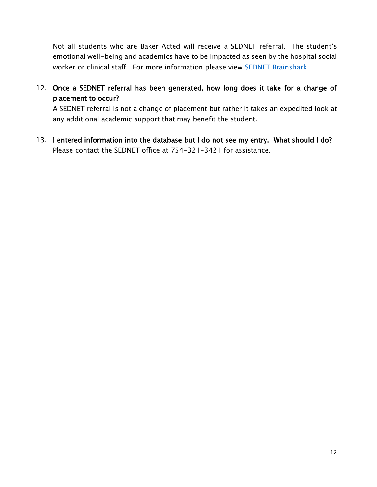Not all students who are Baker Acted will receive a SEDNET referral. The student's emotional well-being and academics have to be impacted as seen by the hospital social worker or clinical staff. For more information please view **SEDNET Brainshark**.

12. Once a SEDNET referral has been generated, how long does it take for a change of placement to occur?

A SEDNET referral is not a change of placement but rather it takes an expedited look at any additional academic support that may benefit the student.

13. I entered information into the database but I do not see my entry. What should I do? Please contact the SEDNET office at 754-321-3421 for assistance.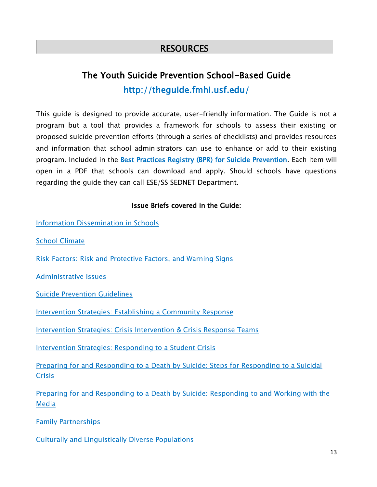### **RESOURCES**

# The Youth Suicide Prevention School-Based Guide <http://theguide.fmhi.usf.edu/>

This guide is designed to provide accurate, user-friendly information. The Guide is not a program but a tool that provides a framework for schools to assess their existing or proposed suicide prevention efforts (through a series of checklists) and provides resources and information that school administrators can use to enhance or add to their existing program. Included in the [Best Practices Registry \(BPR\) for Suicide Prevention.](http://www.sprc.org/strategic-planning/finding-programs-practices) Each item will open in a PDF that schools can download and apply. Should schools have questions regarding the guide they can call ESE/SS SEDNET Department.

#### Issue Briefs covered in the Guide:

[Information Dissemination in Schools](http://theguide.fmhi.usf.edu/pdf/2012PDFs/IB-1.pdf)

[School Climate](http://theguide.fmhi.usf.edu/pdf/2012PDFs/IB-2.pdf)

[Risk Factors: Risk and Protective Factors, and Warning Signs](http://theguide.fmhi.usf.edu/pdf/2012PDFs/IB-3a.pdf)

[Administrative Issues](http://theguide.fmhi.usf.edu/pdf/2012PDFs/IB-4.pdf)

[Suicide Prevention Guidelines](http://theguide.fmhi.usf.edu/pdf/2012PDFs/IB-5.pdf)

[Intervention Strategies: Establishing a Community Response](http://theguide.fmhi.usf.edu/pdf/2012PDFs/IB-6a.pdf)

[Intervention Strategies: Crisis Intervention & Crisis Response Teams](http://theguide.fmhi.usf.edu/pdf/2012PDFs/IB-6b.pdf)

[Intervention Strategies: Responding to a Student Crisis](http://theguide.fmhi.usf.edu/pdf/2012PDFs/IB-6c.pdf)

[Preparing for and Responding to a Death by Suicide: Steps for Responding to a Suicidal](http://theguide.fmhi.usf.edu/pdf/2012PDFs/IB-7a.pdf)  **[Crisis](http://theguide.fmhi.usf.edu/pdf/2012PDFs/IB-7a.pdf)** 

[Preparing for and Responding to a Death by Suicide: Responding to and Working with the](http://theguide.fmhi.usf.edu/pdf/2012PDFs/IB-7b.pdf)  [Media](http://theguide.fmhi.usf.edu/pdf/2012PDFs/IB-7b.pdf)

[Family Partnerships](http://theguide.fmhi.usf.edu/pdf/2012PDFs/IB-8.pdf)

[Culturally and Linguistically Diverse Populations](http://theguide.fmhi.usf.edu/pdf/2012PDFs/IB-9.pdf)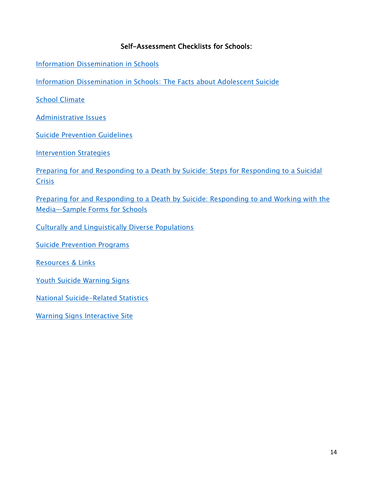### Self-Assessment Checklists for Schools:

[Information Dissemination in Schools](http://theguide.fmhi.usf.edu/pdf/2012PDFs/CL-1.pdf)

[Information Dissemination in Schools: The Facts about Adolescent Suicide](http://theguide.fmhi.usf.edu/pdf/2012PDFs/True-false.pdf)

**[School Climate](http://theguide.fmhi.usf.edu/pdf/2012PDFs/CL-2.pdf)** 

[Administrative Issues](http://theguide.fmhi.usf.edu/pdf/2012PDFs/CL-4.pdf)

[Suicide Prevention Guidelines](http://theguide.fmhi.usf.edu/pdf/2012PDFs/CL-5.pdf)

**[Intervention Strategies](http://theguide.fmhi.usf.edu/pdf/2012PDFs/CL-6.pdf)** 

[Preparing for and Responding to a Death by Suicide: Steps for Responding to a Suicidal](http://theguide.fmhi.usf.edu/pdf/2012PDFs/CL-7a.pdf)  **[Crisis](http://theguide.fmhi.usf.edu/pdf/2012PDFs/CL-7a.pdf)** 

[Preparing for and Responding to a Death by Suicide: Responding to and Working with the](http://theguide.fmhi.usf.edu/pdf/2012PDFs/CL-7b.pdf)  Media—[Sample Forms for Schools](http://theguide.fmhi.usf.edu/pdf/2012PDFs/CL-7b.pdf)

[Culturally and Linguistically Diverse Populations](http://theguide.fmhi.usf.edu/pdf/2012PDFs/CL-9.pdf)

[Suicide Prevention Programs](http://theguide.fmhi.usf.edu/pdf/2012PDFs/Programs.pdf)

[Resources & Links](http://theguide.fmhi.usf.edu/pdf/2012PDFs/Resources.pdf)

[Youth Suicide Warning Signs](http://www.youthsuicidewarningsigns.org/)

[National Suicide-Related Statistics](http://theguide.fmhi.usf.edu/pdf/2012PDFs/Statistics.pdf)

[Warning Signs Interactive Site](http://www.youthsuicidewarningsigns.org/)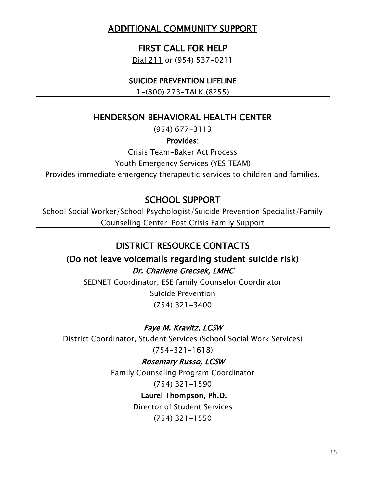# ADDITIONAL COMMUNITY SUPPORT

### FIRST CALL FOR HELP

Dial 211 or (954) 537-0211

### SUICIDE PREVENTION LIFELINE

1-(800) 273-TALK (8255)

### HENDERSON BEHAVIORAL HEALTH CENTER

(954) 677-3113

### Provides:

Crisis Team-Baker Act Process

Youth Emergency Services (YES TEAM)

Provides immediate emergency therapeutic services to children and families.

### SCHOOL SUPPORT

School Social Worker/School Psychologist/Suicide Prevention Specialist/Family Counseling Center-Post Crisis Family Support

### DISTRICT RESOURCE CONTACTS

(Do not leave voicemails regarding student suicide risk) Dr. Charlene Grecsek, LMHC

SEDNET Coordinator, ESE family Counselor Coordinator Suicide Prevention

(754) 321-3400

### Faye M. Kravitz, LCSW

District Coordinator, Student Services (School Social Work Services)

(754-321-1618)

Rosemary Russo, LCSW Family Counseling Program Coordinator

(754) 321-1590

Laurel Thompson, Ph.D.

Director of Student Services

(754) 321-1550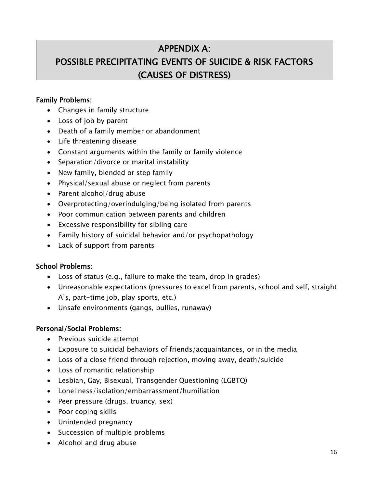### APPENDIX A:

# POSSIBLE PRECIPITATING EVENTS OF SUICIDE & RISK FACTORS (CAUSES OF DISTRESS)

#### Family Problems:

- Changes in family structure
- Loss of job by parent
- Death of a family member or abandonment
- Life threatening disease
- Constant arguments within the family or family violence
- Separation/divorce or marital instability
- New family, blended or step family
- Physical/sexual abuse or neglect from parents
- Parent alcohol/drug abuse
- Overprotecting/overindulging/being isolated from parents
- Poor communication between parents and children
- Excessive responsibility for sibling care
- Family history of suicidal behavior and/or psychopathology
- Lack of support from parents

#### School Problems:

- Loss of status (e.g., failure to make the team, drop in grades)
- Unreasonable expectations (pressures to excel from parents, school and self, straight A's, part-time job, play sports, etc.)
- Unsafe environments (gangs, bullies, runaway)

#### Personal/Social Problems:

- Previous suicide attempt
- Exposure to suicidal behaviors of friends/acquaintances, or in the media
- Loss of a close friend through rejection, moving away, death/suicide
- Loss of romantic relationship
- Lesbian, Gay, Bisexual, Transgender Questioning (LGBTQ)
- Loneliness/isolation/embarrassment/humiliation
- Peer pressure (drugs, truancy, sex)
- Poor coping skills
- Unintended pregnancy
- Succession of multiple problems
- Alcohol and drug abuse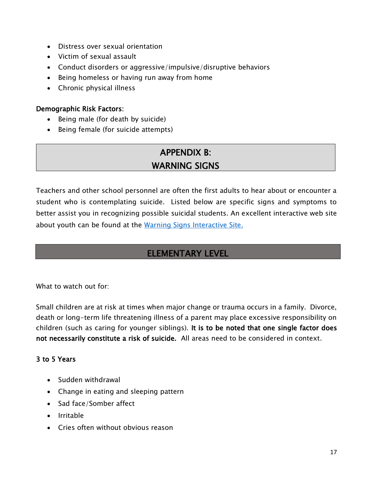- Distress over sexual orientation
- Victim of sexual assault
- Conduct disorders or aggressive/impulsive/disruptive behaviors
- Being homeless or having run away from home
- Chronic physical illness

#### Demographic Risk Factors:

- $\bullet$  Being male (for death by suicide)
- Being female (for suicide attempts)

# APPENDIX B: WARNING SIGNS

Teachers and other school personnel are often the first adults to hear about or encounter a student who is contemplating suicide. Listed below are specific signs and symptoms to better assist you in recognizing possible suicidal students. An excellent interactive web site about youth can be found at the [Warning Signs Interactive Site.](http://www.youthsuicidewarningsigns.org/)

### ELEMENTARY LEVEL

What to watch out for:

Small children are at risk at times when major change or trauma occurs in a family. Divorce, death or long-term life threatening illness of a parent may place excessive responsibility on children (such as caring for younger siblings). It is to be noted that one single factor does not necessarily constitute a risk of suicide. All areas need to be considered in context.

### 3 to 5 Years

- Sudden withdrawal
- Change in eating and sleeping pattern
- Sad face/Somber affect
- Irritable
- Cries often without obvious reason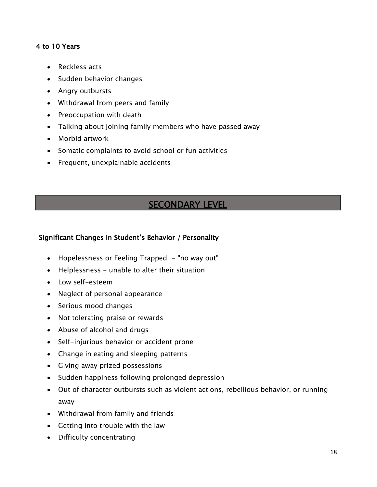### 4 to 10 Years

- Reckless acts
- Sudden behavior changes
- Angry outbursts
- Withdrawal from peers and family
- Preoccupation with death
- Talking about joining family members who have passed away
- Morbid artwork
- Somatic complaints to avoid school or fun activities
- Frequent, unexplainable accidents

### **SECONDARY LEVEL**

### Significant Changes in Student's Behavior / Personality

- Hopelessness or Feeling Trapped "no way out"
- Helplessness unable to alter their situation
- Low self-esteem
- Neglect of personal appearance
- Serious mood changes
- Not tolerating praise or rewards
- Abuse of alcohol and drugs
- Self-injurious behavior or accident prone
- Change in eating and sleeping patterns
- Giving away prized possessions
- Sudden happiness following prolonged depression
- Out of character outbursts such as violent actions, rebellious behavior, or running away
- Withdrawal from family and friends
- Getting into trouble with the law
- Difficulty concentrating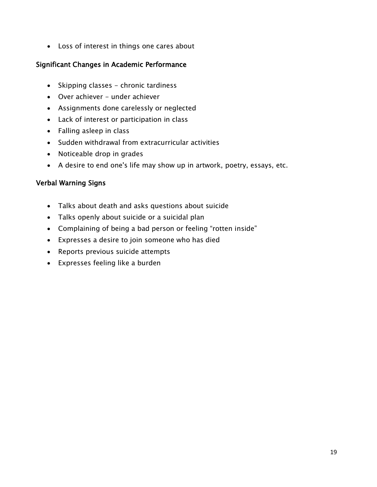Loss of interest in things one cares about

### Significant Changes in Academic Performance

- Skipping classes chronic tardiness
- Over achiever under achiever
- Assignments done carelessly or neglected
- Lack of interest or participation in class
- Falling asleep in class
- Sudden withdrawal from extracurricular activities
- Noticeable drop in grades
- A desire to end one's life may show up in artwork, poetry, essays, etc.

### Verbal Warning Signs

- Talks about death and asks questions about suicide
- Talks openly about suicide or a suicidal plan
- Complaining of being a bad person or feeling "rotten inside"
- Expresses a desire to join someone who has died
- Reports previous suicide attempts
- Expresses feeling like a burden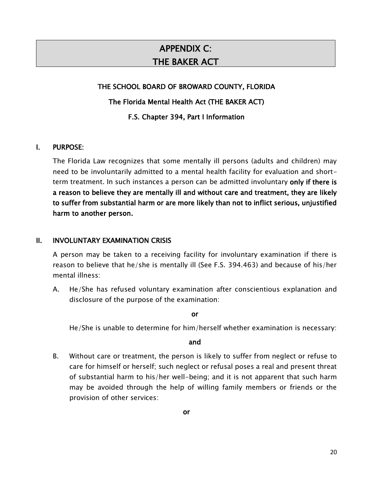# APPENDIX C: THE BAKER ACT

#### THE SCHOOL BOARD OF BROWARD COUNTY, FLORIDA

#### The Florida Mental Health Act (THE BAKER ACT)

#### F.S. Chapter 394, Part I Information

#### I. PURPOSE:

The Florida Law recognizes that some mentally ill persons (adults and children) may need to be involuntarily admitted to a mental health facility for evaluation and shortterm treatment. In such instances a person can be admitted involuntary only if there is a reason to believe they are mentally ill and without care and treatment, they are likely to suffer from substantial harm or are more likely than not to inflict serious, unjustified harm to another person.

#### II. INVOLUNTARY EXAMINATION CRISIS

A person may be taken to a receiving facility for involuntary examination if there is reason to believe that he/she is mentally ill (See F.S. 394.463) and because of his/her mental illness:

A. He/She has refused voluntary examination after conscientious explanation and disclosure of the purpose of the examination:

#### or

He/She is unable to determine for him/herself whether examination is necessary:

#### and

B. Without care or treatment, the person is likely to suffer from neglect or refuse to care for himself or herself; such neglect or refusal poses a real and present threat of substantial harm to his/her well-being; and it is not apparent that such harm may be avoided through the help of willing family members or friends or the provision of other services: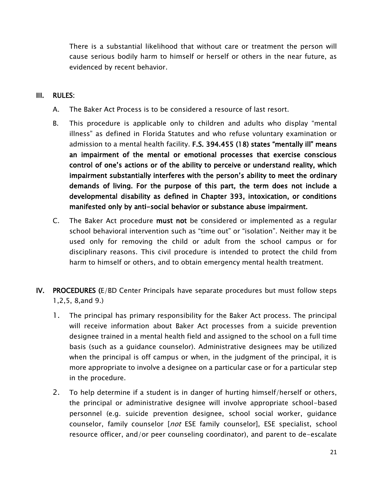There is a substantial likelihood that without care or treatment the person will cause serious bodily harm to himself or herself or others in the near future, as evidenced by recent behavior.

#### III. RULES:

- A. The Baker Act Process is to be considered a resource of last resort.
- B. This procedure is applicable only to children and adults who display "mental illness" as defined in Florida Statutes and who refuse voluntary examination or admission to a mental health facility. F.S. 394.455 (18) states "mentally ill" means an impairment of the mental or emotional processes that exercise conscious control of one's actions or of the ability to perceive or understand reality, which impairment substantially interferes with the person's ability to meet the ordinary demands of living. For the purpose of this part, the term does not include a developmental disability as defined in Chapter 393, intoxication, or conditions manifested only by anti-social behavior or substance abuse impairment.
- C. The Baker Act procedure must not be considered or implemented as a regular school behavioral intervention such as "time out" or "isolation". Neither may it be used only for removing the child or adult from the school campus or for disciplinary reasons. This civil procedure is intended to protect the child from harm to himself or others, and to obtain emergency mental health treatment.
- IV. PROCEDURES (E/BD Center Principals have separate procedures but must follow steps 1,2,5, 8,and 9.)
	- 1. The principal has primary responsibility for the Baker Act process. The principal will receive information about Baker Act processes from a suicide prevention designee trained in a mental health field and assigned to the school on a full time basis (such as a guidance counselor). Administrative designees may be utilized when the principal is off campus or when, in the judgment of the principal, it is more appropriate to involve a designee on a particular case or for a particular step in the procedure.
	- 2. To help determine if a student is in danger of hurting himself/herself or others, the principal or administrative designee will involve appropriate school-based personnel (e.g. suicide prevention designee, school social worker, guidance counselor, family counselor [not ESE family counselor], ESE specialist, school resource officer, and/or peer counseling coordinator), and parent to de-escalate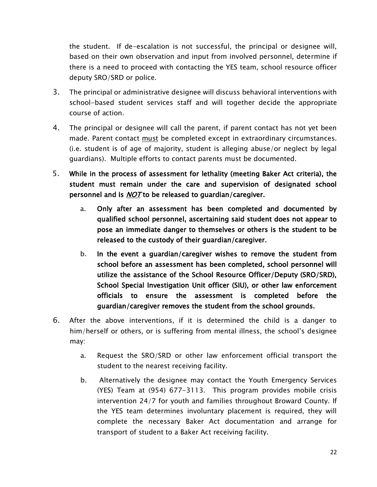the student. If de-escalation is not successful, the principal or designee will, based on their own observation and input from involved personnel, determine if there is a need to proceed with contacting the YES team, school resource officer deputy SRO/SRD or police.

- 3. The principal or administrative designee will discuss behavioral interventions with school-based student services staff and will together decide the appropriate course of action.
- 4. The principal or designee will call the parent, if parent contact has not yet been made. Parent contact must be completed except in extraordinary circumstances. (i.e. student is of age of majority, student is alleging abuse/or neglect by legal guardians). Multiple efforts to contact parents must be documented.
- 5. While in the process of assessment for lethality (meeting Baker Act criteria), the student must remain under the care and supervision of designated school personnel and is **NOT** to be released to guardian/caregiver.
	- a. Only after an assessment has been completed and documented by qualified school personnel, ascertaining said student does not appear to pose an immediate danger to themselves or others is the student to be released to the custody of their guardian/caregiver.
	- b. In the event a guardian/caregiver wishes to remove the student from school before an assessment has been completed, school personnel will utilize the assistance of the School Resource Officer/Deputy (SRO/SRD), School Special Investigation Unit officer (SIU), or other law enforcement officials to ensure the assessment is completed before the guardian/caregiver removes the student from the school grounds.
- 6. After the above interventions, if it is determined the child is a danger to him/herself or others, or is suffering from mental illness, the school's designee may:
	- a. Request the SRO/SRD or other law enforcement official transport the student to the nearest receiving facility.
	- b. Alternatively the designee may contact the Youth Emergency Services (YES) Team at (954) 677-3113. This program provides mobile crisis intervention 24/7 for youth and families throughout Broward County. If the YES team determines involuntary placement is required, they will complete the necessary Baker Act documentation and arrange for transport of student to a Baker Act receiving facility.